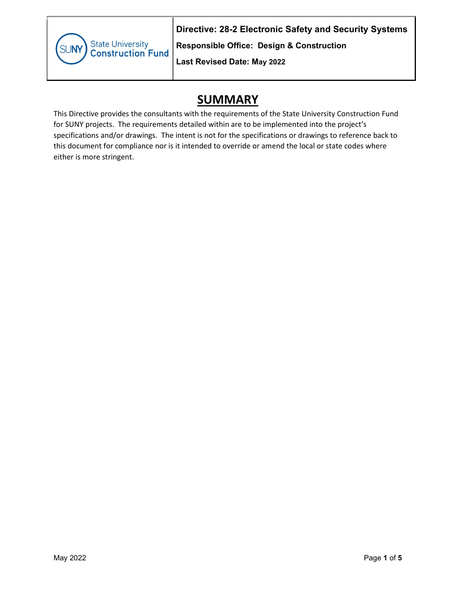State University<br>Construction Fund SUNN

**Directive: 28-2 Electronic Safety and Security Systems** 

**Responsible Office: Design & Construction**

**Last Revised Date: May 2022**

## **SUMMARY**

This Directive provides the consultants with the requirements of the State University Construction Fund for SUNY projects. The requirements detailed within are to be implemented into the project's specifications and/or drawings. The intent is not for the specifications or drawings to reference back to this document for compliance nor is it intended to override or amend the local or state codes where either is more stringent.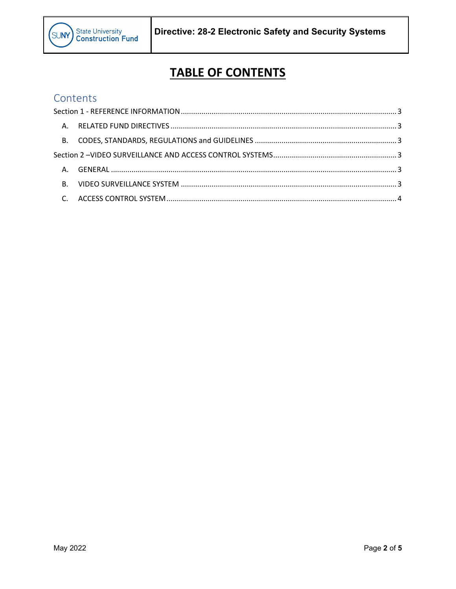

# **TABLE OF CONTENTS**

### Contents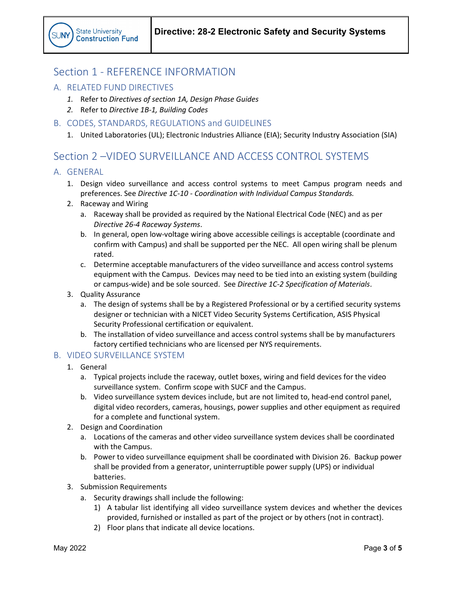### <span id="page-2-0"></span>Section 1 - REFERENCE INFORMATION

- <span id="page-2-1"></span>A. RELATED FUND DIRECTIVES
	- *1.* Refer to *Directives of section 1A, Design Phase Guides*
	- *2.* Refer to *Directive 1B-1, Building Codes*
- <span id="page-2-2"></span>B. CODES, STANDARDS, REGULATIONS and GUIDELINES
	- 1. United Laboratories (UL); Electronic Industries Alliance (EIA); Security Industry Association (SIA)

### <span id="page-2-3"></span>Section 2 – VIDEO SURVEILLANCE AND ACCESS CONTROL SYSTEMS

#### <span id="page-2-4"></span>A. GENERAL

- 1. Design video surveillance and access control systems to meet Campus program needs and preferences. See *Directive 1C-10 - Coordination with Individual Campus Standards.*
- 2. Raceway and Wiring
	- a. Raceway shall be provided as required by the National Electrical Code (NEC) and as per *Directive 26-4 Raceway Systems*.
	- b. In general, open low-voltage wiring above accessible ceilings is acceptable (coordinate and confirm with Campus) and shall be supported per the NEC. All open wiring shall be plenum rated.
	- c. Determine acceptable manufacturers of the video surveillance and access control systems equipment with the Campus. Devices may need to be tied into an existing system (building or campus-wide) and be sole sourced. See *Directive 1C-2 Specification of Materials*.
- 3. Quality Assurance
	- a. The design of systems shall be by a Registered Professional or by a certified security systems designer or technician with a NICET Video Security Systems Certification, ASIS Physical Security Professional certification or equivalent.
	- b. The installation of video surveillance and access control systems shall be by manufacturers factory certified technicians who are licensed per NYS requirements.

#### <span id="page-2-5"></span>B. VIDEO SURVEILLANCE SYSTEM

- 1. General
	- a. Typical projects include the raceway, outlet boxes, wiring and field devices for the video surveillance system. Confirm scope with SUCF and the Campus.
	- b. Video surveillance system devices include, but are not limited to, head-end control panel, digital video recorders, cameras, housings, power supplies and other equipment as required for a complete and functional system.
- 2. Design and Coordination
	- a. Locations of the cameras and other video surveillance system devices shall be coordinated with the Campus.
	- b. Power to video surveillance equipment shall be coordinated with Division 26. Backup power shall be provided from a generator, uninterruptible power supply (UPS) or individual batteries.
- 3. Submission Requirements
	- a. Security drawings shall include the following:
		- 1) A tabular list identifying all video surveillance system devices and whether the devices provided, furnished or installed as part of the project or by others (not in contract).
		- 2) Floor plans that indicate all device locations.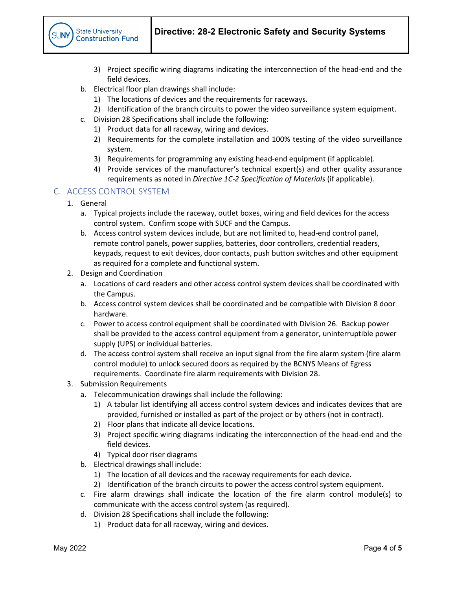

- 3) Project specific wiring diagrams indicating the interconnection of the head-end and the field devices.
- b. Electrical floor plan drawings shall include:
	- 1) The locations of devices and the requirements for raceways.
	- 2) Identification of the branch circuits to power the video surveillance system equipment.
- c. Division 28 Specifications shall include the following:
	- 1) Product data for all raceway, wiring and devices.
	- 2) Requirements for the complete installation and 100% testing of the video surveillance system.
	- 3) Requirements for programming any existing head-end equipment (if applicable).
	- 4) Provide services of the manufacturer's technical expert(s) and other quality assurance requirements as noted in *Directive 1C-2 Specification of Materials* (if applicable).

#### <span id="page-3-0"></span>C. ACCESS CONTROL SYSTEM

- 1. General
	- a. Typical projects include the raceway, outlet boxes, wiring and field devices for the access control system. Confirm scope with SUCF and the Campus.
	- b. Access control system devices include, but are not limited to, head-end control panel, remote control panels, power supplies, batteries, door controllers, credential readers, keypads, request to exit devices, door contacts, push button switches and other equipment as required for a complete and functional system.
- 2. Design and Coordination
	- a. Locations of card readers and other access control system devices shall be coordinated with the Campus.
	- b. Access control system devices shall be coordinated and be compatible with Division 8 door hardware.
	- c. Power to access control equipment shall be coordinated with Division 26. Backup power shall be provided to the access control equipment from a generator, uninterruptible power supply (UPS) or individual batteries.
	- d. The access control system shall receive an input signal from the fire alarm system (fire alarm control module) to unlock secured doors as required by the BCNYS Means of Egress requirements. Coordinate fire alarm requirements with Division 28.
- 3. Submission Requirements
	- a. Telecommunication drawings shall include the following:
		- 1) A tabular list identifying all access control system devices and indicates devices that are provided, furnished or installed as part of the project or by others (not in contract).
		- 2) Floor plans that indicate all device locations.
		- 3) Project specific wiring diagrams indicating the interconnection of the head-end and the field devices.
		- 4) Typical door riser diagrams
	- b. Electrical drawings shall include:
		- 1) The location of all devices and the raceway requirements for each device.
		- 2) Identification of the branch circuits to power the access control system equipment.
	- c. Fire alarm drawings shall indicate the location of the fire alarm control module(s) to communicate with the access control system (as required).
	- d. Division 28 Specifications shall include the following:
		- 1) Product data for all raceway, wiring and devices.